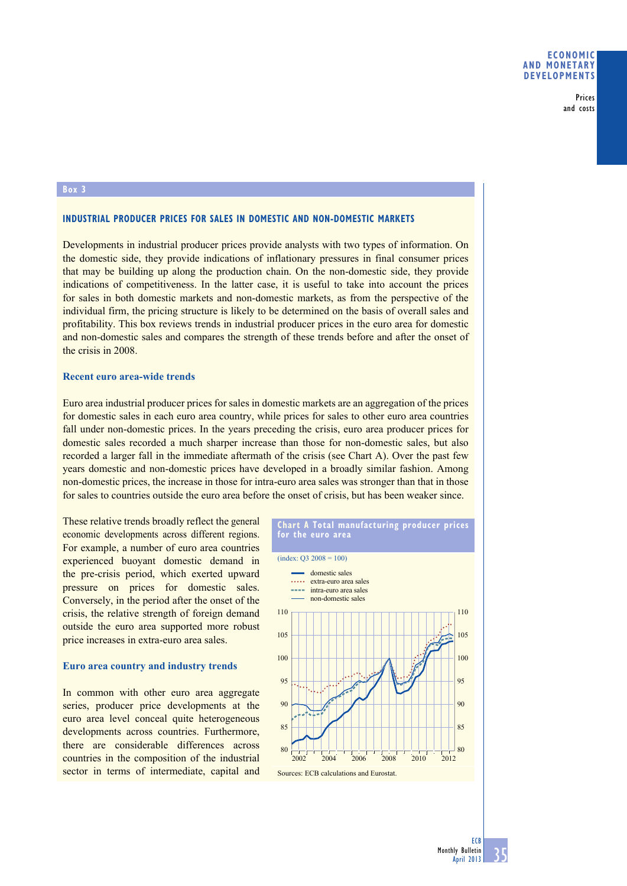Prices and costs

# **box 3**

# **INDUSTRIAL PRODUCER PRICES FOR SALES IN DOMESTIC AND NON-DOMESTIC MARKETS**

Developments in industrial producer prices provide analysts with two types of information. On the domestic side, they provide indications of inflationary pressures in final consumer prices that may be building up along the production chain. On the non-domestic side, they provide indications of competitiveness. In the latter case, it is useful to take into account the prices for sales in both domestic markets and non-domestic markets, as from the perspective of the individual firm, the pricing structure is likely to be determined on the basis of overall sales and profitability. This box reviews trends in industrial producer prices in the euro area for domestic and non-domestic sales and compares the strength of these trends before and after the onset of the crisis in 2008.

### **Recent euro area-wide trends**

Euro area industrial producer prices for sales in domestic markets are an aggregation of the prices for domestic sales in each euro area country, while prices for sales to other euro area countries fall under non-domestic prices. In the years preceding the crisis, euro area producer prices for domestic sales recorded a much sharper increase than those for non-domestic sales, but also recorded a larger fall in the immediate aftermath of the crisis (see Chart A). Over the past few years domestic and non-domestic prices have developed in a broadly similar fashion. Among non-domestic prices, the increase in those for intra-euro area sales was stronger than that in those for sales to countries outside the euro area before the onset of crisis, but has been weaker since.

These relative trends broadly reflect the general economic developments across different regions. For example, a number of euro area countries experienced buoyant domestic demand in the pre-crisis period, which exerted upward pressure on prices for domestic sales. Conversely, in the period after the onset of the crisis, the relative strength of foreign demand outside the euro area supported more robust price increases in extra-euro area sales.

# **Euro area country and industry trends**

In common with other euro area aggregate series, producer price developments at the euro area level conceal quite heterogeneous developments across countries. Furthermore, there are considerable differences across countries in the composition of the industrial sector in terms of intermediate, capital and



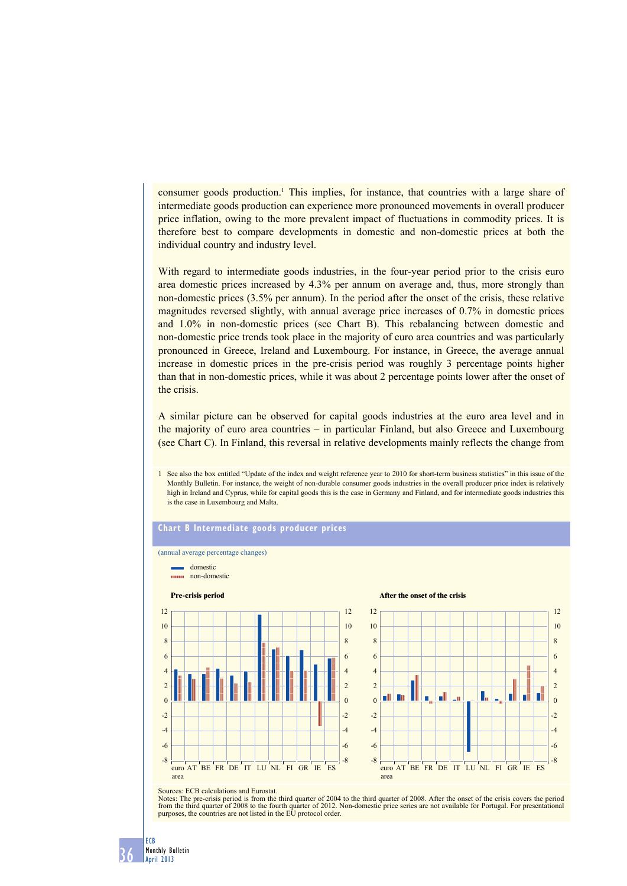consumer goods production.<sup>1</sup> This implies, for instance, that countries with a large share of intermediate goods production can experience more pronounced movements in overall producer price inflation, owing to the more prevalent impact of fluctuations in commodity prices. It is therefore best to compare developments in domestic and non-domestic prices at both the individual country and industry level.

With regard to intermediate goods industries, in the four-year period prior to the crisis euro area domestic prices increased by 4.3% per annum on average and, thus, more strongly than non-domestic prices (3.5% per annum). In the period after the onset of the crisis, these relative magnitudes reversed slightly, with annual average price increases of 0.7% in domestic prices and 1.0% in non-domestic prices (see Chart B). This rebalancing between domestic and non-domestic price trends took place in the majority of euro area countries and was particularly pronounced in Greece, Ireland and Luxembourg. For instance, in Greece, the average annual increase in domestic prices in the pre-crisis period was roughly 3 percentage points higher than that in non-domestic prices, while it was about 2 percentage points lower after the onset of the crisis.

A similar picture can be observed for capital goods industries at the euro area level and in the majority of euro area countries – in particular Finland, but also Greece and Luxembourg (see Chart C). In Finland, this reversal in relative developments mainly reflects the change from

1 See also the box entitled "Update of the index and weight reference year to 2010 for short-term business statistics" in this issue of the Monthly Bulletin. For instance, the weight of non-durable consumer goods industries in the overall producer price index is relatively high in Ireland and Cyprus, while for capital goods this is the case in Germany and Finland, and for intermediate goods industries this is the case in Luxembourg and Malta.

#### **Chart b intermediate goods producer prices**



Sources: ECB calculations and Eurostat.

Notes: The pre-crisis period is from the third quarter of 2004 to the third quarter of 2008. After the onset of the crisis covers the period to the crisis covers the period from the third quarter of 2012. Non-domestic pric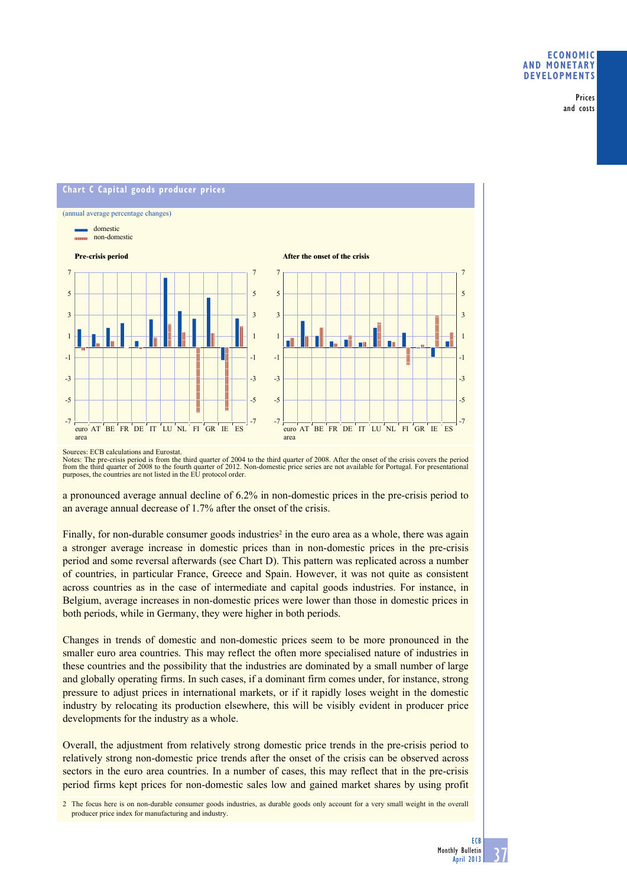Prices and costs



Sources: ECB calculations and Eurostat.

Notes: The pre-crisis period is from the third quarter of 2004 to the third quarter of 2008. After the onset of the crisis covers the period to the crisis covers the period from the third quarter of 2012. Non-domestic pric

a pronounced average annual decline of 6.2% in non-domestic prices in the pre-crisis period to an average annual decrease of 1.7% after the onset of the crisis.

Finally, for non-durable consumer goods industries<sup>2</sup> in the euro area as a whole, there was again a stronger average increase in domestic prices than in non-domestic prices in the pre-crisis period and some reversal afterwards (see Chart D). This pattern was replicated across a number of countries, in particular France, Greece and Spain. However, it was not quite as consistent across countries as in the case of intermediate and capital goods industries. For instance, in Belgium, average increases in non-domestic prices were lower than those in domestic prices in both periods, while in Germany, they were higher in both periods.

Changes in trends of domestic and non-domestic prices seem to be more pronounced in the smaller euro area countries. This may reflect the often more specialised nature of industries in these countries and the possibility that the industries are dominated by a small number of large and globally operating firms. In such cases, if a dominant firm comes under, for instance, strong pressure to adjust prices in international markets, or if it rapidly loses weight in the domestic industry by relocating its production elsewhere, this will be visibly evident in producer price developments for the industry as a whole.

Overall, the adjustment from relatively strong domestic price trends in the pre-crisis period to relatively strong non-domestic price trends after the onset of the crisis can be observed across sectors in the euro area countries. In a number of cases, this may reflect that in the pre-crisis period firms kept prices for non-domestic sales low and gained market shares by using profit

2 The focus here is on non-durable consumer goods industries, as durable goods only account for a very small weight in the overall producer price index for manufacturing and industry.